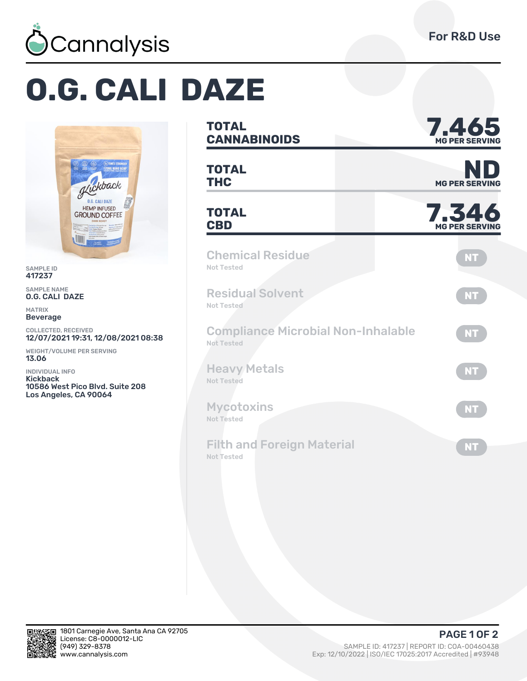

## **O.G. CALI DAZE**



SAMPLE ID 417237

SAMPLE NAME O.G. CALI DAZE

MATRIX Beverage

COLLECTED, RECEIVED 12/07/2021 19:31, 12/08/2021 08:38

WEIGHT/VOLUME PER SERVING 13.06

INDIVIDUAL INFO Kickback 10586 West Pico Blvd. Suite 208 Los Angeles, CA 90064

| <b>TOTAL</b><br><b>CANNABINOIDS</b>                     | 7.465<br><b>MG PER SERVING</b> |
|---------------------------------------------------------|--------------------------------|
| <b>TOTAL</b><br><b>THC</b>                              | <b>MG PER SERVING</b>          |
| <b>TOTAL</b><br><b>CBD</b>                              | 7.346<br><b>MG PER SERVING</b> |
| <b>Chemical Residue</b><br>Not Tested                   | <b>NT</b>                      |
| <b>Residual Solvent</b><br>Not Tested                   | <b>NT</b>                      |
| <b>Compliance Microbial Non-Inhalable</b><br>Not Tested | <b>NT</b>                      |
| <b>Heavy Metals</b><br>Not Tested                       | <b>NT</b>                      |
| <b>Mycotoxins</b><br><b>Not Tested</b>                  | <b>NT</b>                      |
| <b>Filth and Foreign Material</b><br><b>Not Tested</b>  | <b>NT</b>                      |